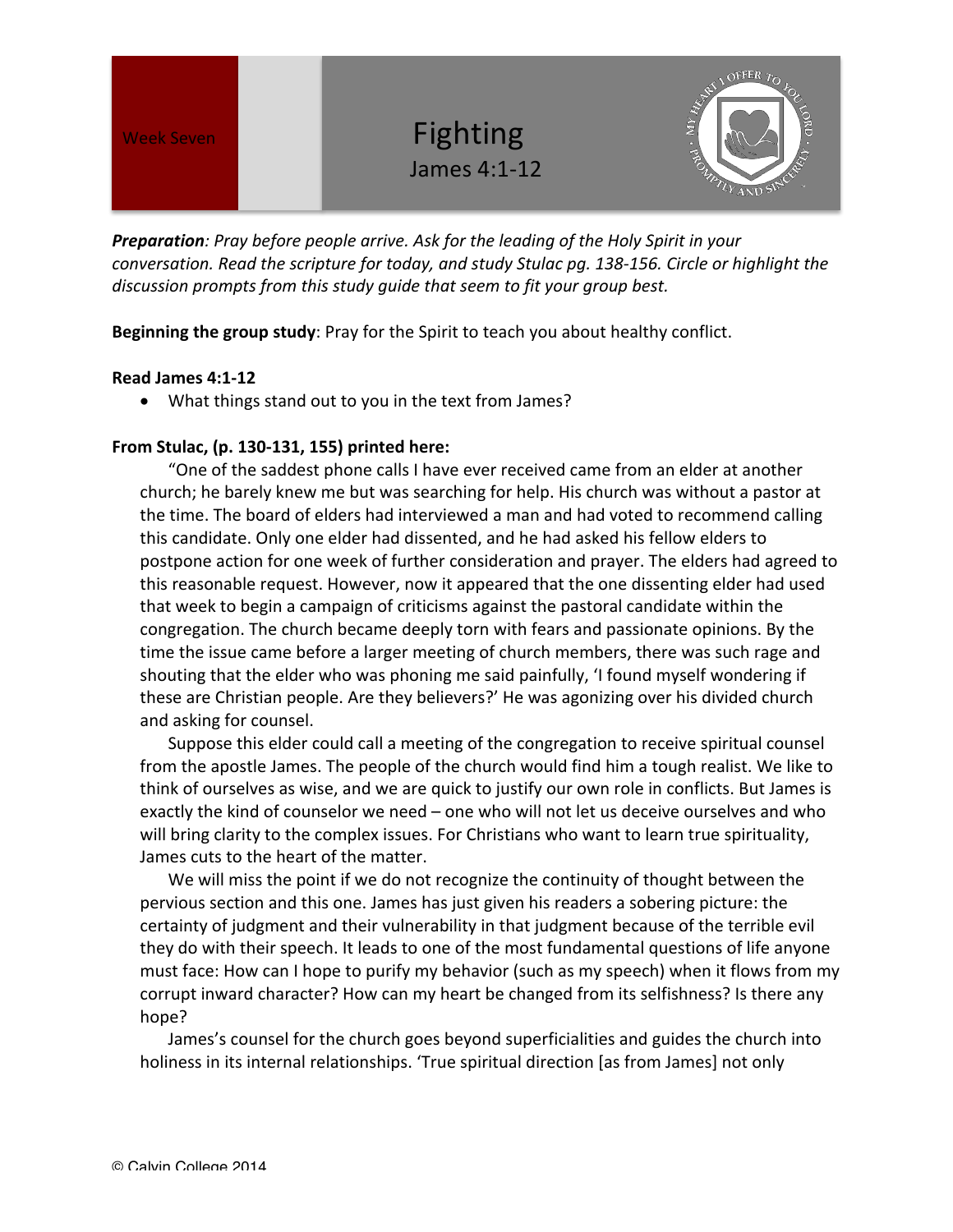Week Seven **Burney Contains Container Pighting** James 4:1-12



**Preparation**: Pray before people arrive. Ask for the leading of the Holy Spirit in your *conversation.* Read the scripture for today, and study Stulac pg. 138-156. Circle or highlight the discussion prompts from this study guide that seem to fit your group best.

**Beginning the group study:** Pray for the Spirit to teach you about healthy conflict.

## **Read James 4:1-12**

• What things stand out to you in the text from James?

## **From Stulac, (p. 130-131, 155) printed here:**

"One of the saddest phone calls I have ever received came from an elder at another church; he barely knew me but was searching for help. His church was without a pastor at the time. The board of elders had interviewed a man and had voted to recommend calling this candidate. Only one elder had dissented, and he had asked his fellow elders to postpone action for one week of further consideration and prayer. The elders had agreed to this reasonable request. However, now it appeared that the one dissenting elder had used that week to begin a campaign of criticisms against the pastoral candidate within the congregation. The church became deeply torn with fears and passionate opinions. By the time the issue came before a larger meeting of church members, there was such rage and shouting that the elder who was phoning me said painfully, 'I found myself wondering if these are Christian people. Are they believers?' He was agonizing over his divided church and asking for counsel.

Suppose this elder could call a meeting of the congregation to receive spiritual counsel from the apostle James. The people of the church would find him a tough realist. We like to think of ourselves as wise, and we are quick to justify our own role in conflicts. But James is exactly the kind of counselor we need – one who will not let us deceive ourselves and who will bring clarity to the complex issues. For Christians who want to learn true spirituality, James cuts to the heart of the matter.

We will miss the point if we do not recognize the continuity of thought between the pervious section and this one. James has just given his readers a sobering picture: the certainty of judgment and their vulnerability in that judgment because of the terrible evil they do with their speech. It leads to one of the most fundamental questions of life anyone must face: How can I hope to purify my behavior (such as my speech) when it flows from my corrupt inward character? How can my heart be changed from its selfishness? Is there any hope?

James's counsel for the church goes beyond superficialities and guides the church into holiness in its internal relationships. 'True spiritual direction [as from James] not only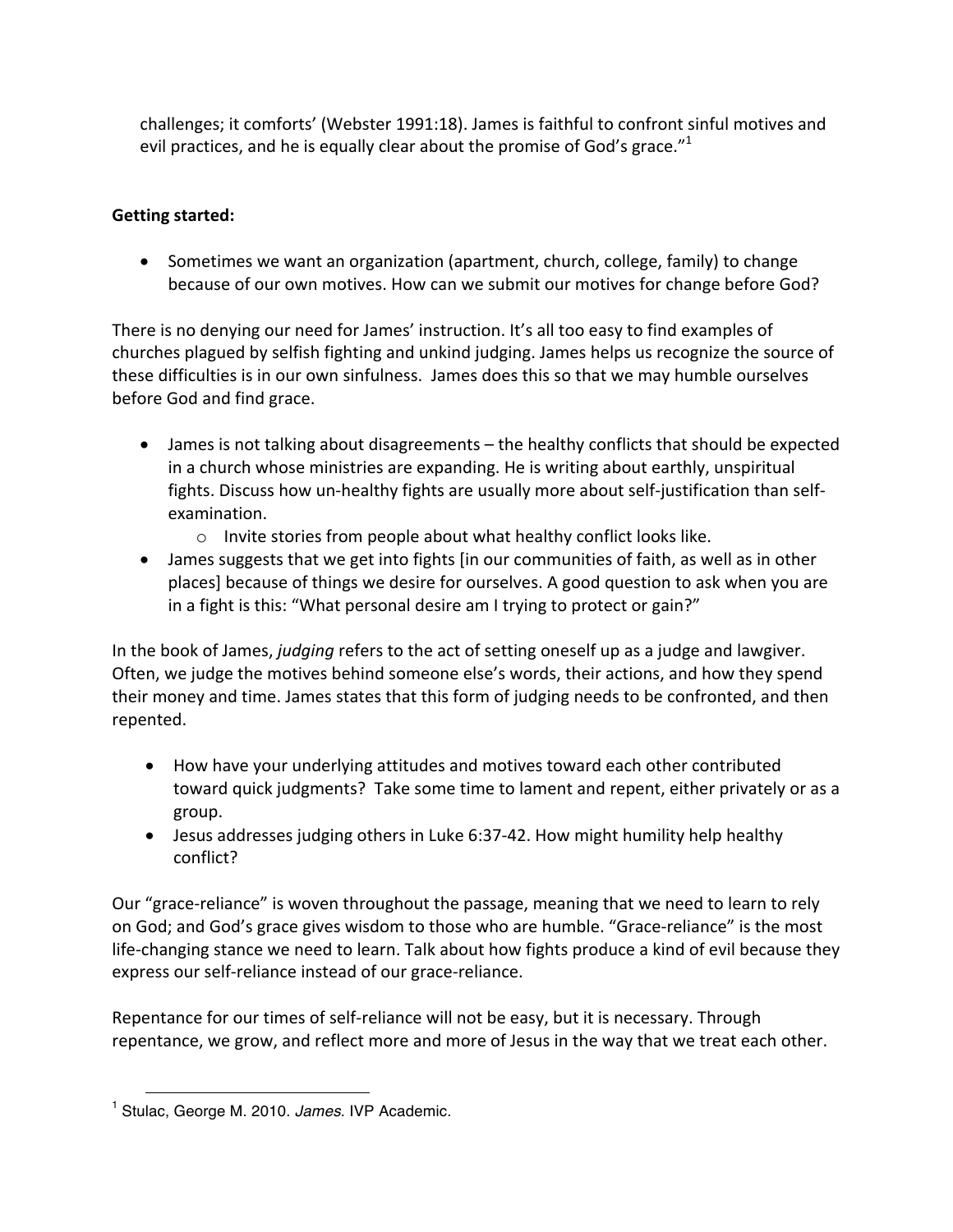challenges; it comforts' (Webster 1991:18). James is faithful to confront sinful motives and evil practices, and he is equally clear about the promise of God's grace."<sup>1</sup>

## **Getting started:**

• Sometimes we want an organization (apartment, church, college, family) to change because of our own motives. How can we submit our motives for change before God?

There is no denying our need for James' instruction. It's all too easy to find examples of churches plagued by selfish fighting and unkind judging. James helps us recognize the source of these difficulties is in our own sinfulness. James does this so that we may humble ourselves before God and find grace.

- James is not talking about disagreements the healthy conflicts that should be expected in a church whose ministries are expanding. He is writing about earthly, unspiritual fights. Discuss how un-healthy fights are usually more about self-justification than selfexamination.
	- $\circ$  Invite stories from people about what healthy conflict looks like.
- James suggests that we get into fights [in our communities of faith, as well as in other places] because of things we desire for ourselves. A good question to ask when you are in a fight is this: "What personal desire am I trying to protect or gain?"

In the book of James, *judging* refers to the act of setting oneself up as a judge and lawgiver. Often, we judge the motives behind someone else's words, their actions, and how they spend their money and time. James states that this form of judging needs to be confronted, and then repented. 

- How have your underlying attitudes and motives toward each other contributed toward quick judgments? Take some time to lament and repent, either privately or as a group.
- Jesus addresses judging others in Luke 6:37-42. How might humility help healthy conflict?

Our "grace-reliance" is woven throughout the passage, meaning that we need to learn to rely on God; and God's grace gives wisdom to those who are humble. "Grace-reliance" is the most life-changing stance we need to learn. Talk about how fights produce a kind of evil because they express our self-reliance instead of our grace-reliance.

Repentance for our times of self-reliance will not be easy, but it is necessary. Through repentance, we grow, and reflect more and more of Jesus in the way that we treat each other.

 $\overline{a}$ <sup>1</sup> Stulac, George M. 2010. *James*. IVP Academic.